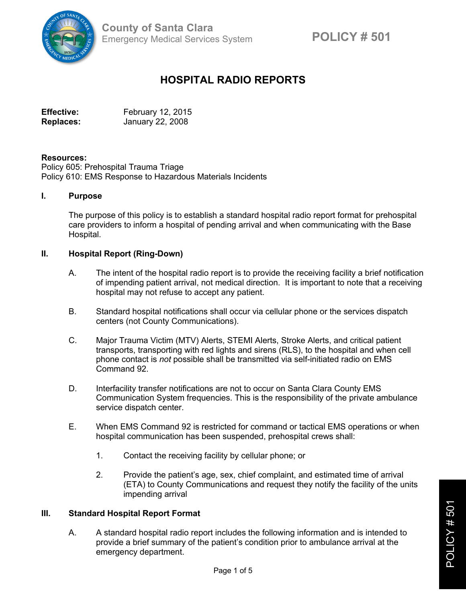

# **HOSPITAL RADIO REPORTS**

Effective: February 12, 2015 **Replaces:** January 22, 2008

## **Resources:**

Policy 605: Prehospital Trauma Triage Policy 610: EMS Response to Hazardous Materials Incidents

#### **I. Purpose**

The purpose of this policy is to establish a standard hospital radio report format for prehospital care providers to inform a hospital of pending arrival and when communicating with the Base Hospital.

## **II. Hospital Report (Ring-Down)**

- A. The intent of the hospital radio report is to provide the receiving facility a brief notification of impending patient arrival, not medical direction. It is important to note that a receiving hospital may not refuse to accept any patient.
- B. Standard hospital notifications shall occur via cellular phone or the services dispatch centers (not County Communications).
- C. Major Trauma Victim (MTV) Alerts, STEMI Alerts, Stroke Alerts, and critical patient transports, transporting with red lights and sirens (RLS), to the hospital and when cell phone contact is *not* possible shall be transmitted via self-initiated radio on EMS Command 92.
- D. Interfacility transfer notifications are not to occur on Santa Clara County EMS Communication System frequencies. This is the responsibility of the private ambulance service dispatch center.
- E. When EMS Command 92 is restricted for command or tactical EMS operations or when hospital communication has been suspended, prehospital crews shall:
	- 1. Contact the receiving facility by cellular phone; or
	- 2. Provide the patient's age, sex, chief complaint, and estimated time of arrival (ETA) to County Communications and request they notify the facility of the units impending arrival

#### **III. Standard Hospital Report Format**

A. A standard hospital radio report includes the following information and is intended to provide a brief summary of the patient's condition prior to ambulance arrival at the emergency department.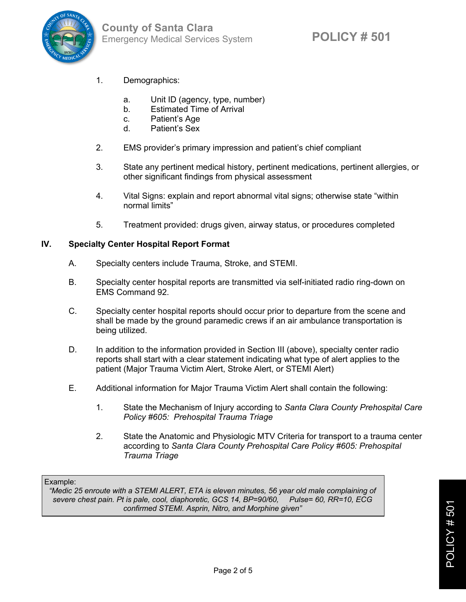

- 1. Demographics:
	- a. Unit ID (agency, type, number)
	- b. Estimated Time of Arrival
	- c. Patient's Age
	- d. Patient's Sex
- 2. EMS provider's primary impression and patient's chief compliant
- 3. State any pertinent medical history, pertinent medications, pertinent allergies, or other significant findings from physical assessment
- 4. Vital Signs: explain and report abnormal vital signs; otherwise state "within normal limits"
- 5. Treatment provided: drugs given, airway status, or procedures completed

# **IV. Specialty Center Hospital Report Format**

- A. Specialty centers include Trauma, Stroke, and STEMI.
- B. Specialty center hospital reports are transmitted via self-initiated radio ring-down on EMS Command 92.
- C. Specialty center hospital reports should occur prior to departure from the scene and shall be made by the ground paramedic crews if an air ambulance transportation is being utilized.
- D. In addition to the information provided in Section III (above), specialty center radio reports shall start with a clear statement indicating what type of alert applies to the patient (Major Trauma Victim Alert, Stroke Alert, or STEMI Alert)
- E. Additional information for Major Trauma Victim Alert shall contain the following:
	- 1. State the Mechanism of Injury according to *Santa Clara County Prehospital Care Policy #605: Prehospital Trauma Triage*
	- 2. State the Anatomic and Physiologic MTV Criteria for transport to a trauma center according to *Santa Clara County Prehospital Care Policy #605: Prehospital Trauma Triage*

Example:

*"Medic 25 enroute with a STEMI ALERT, ETA is eleven minutes, 56 year old male complaining of severe chest pain. Pt is pale, cool, diaphoretic, GCS 14, BP=90/60, confirmed STEMI. Asprin, Nitro, and Morphine given"*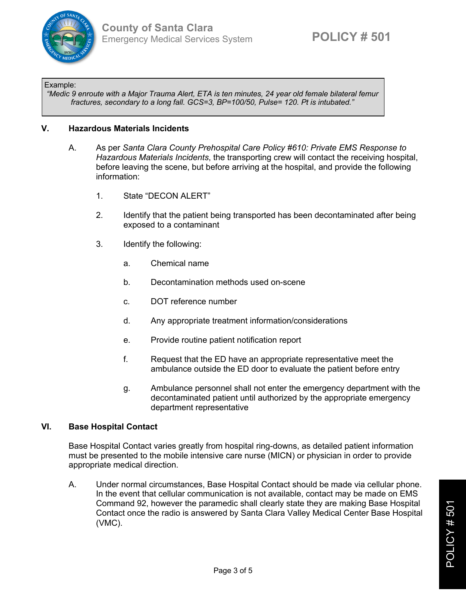

#### Example:

*"Medic 9 enroute with a Major Trauma Alert, ETA is ten minutes, 24 year old female bilateral femur fractures, secondary to a long fall. GCS=3, BP=100/50, Pulse= 120. Pt is intubated."*

# **V. Hazardous Materials Incidents**

- A. As per *Santa Clara County Prehospital Care Policy #610: Private EMS Response to Hazardous Materials Incidents*, the transporting crew will contact the receiving hospital, before leaving the scene, but before arriving at the hospital, and provide the following information:
	- 1. State "DECON ALERT"
	- 2. Identify that the patient being transported has been decontaminated after being exposed to a contaminant
	- 3. Identify the following:
		- a. Chemical name
		- b. Decontamination methods used on-scene
		- c. DOT reference number
		- d. Any appropriate treatment information/considerations
		- e. Provide routine patient notification report
		- f. Request that the ED have an appropriate representative meet the ambulance outside the ED door to evaluate the patient before entry
		- g. Ambulance personnel shall not enter the emergency department with the decontaminated patient until authorized by the appropriate emergency department representative

# **VI. Base Hospital Contact**

Base Hospital Contact varies greatly from hospital ring-downs, as detailed patient information must be presented to the mobile intensive care nurse (MICN) or physician in order to provide appropriate medical direction.

A. Under normal circumstances, Base Hospital Contact should be made via cellular phone. In the event that cellular communication is not available, contact may be made on EMS Command 92, however the paramedic shall clearly state they are making Base Hospital Contact once the radio is answered by Santa Clara Valley Medical Center Base Hospital (VMC).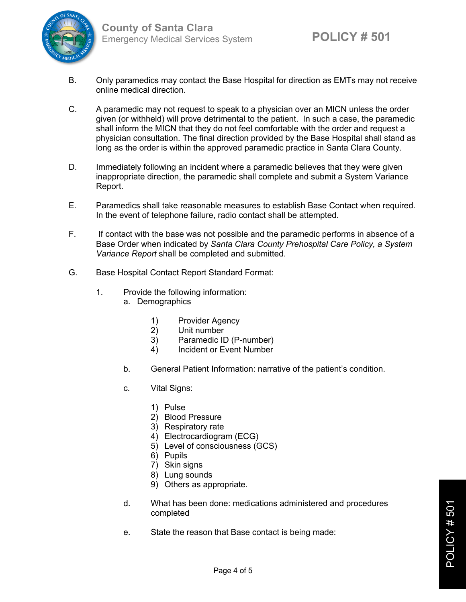

- B. Only paramedics may contact the Base Hospital for direction as EMTs may not receive online medical direction.
- C. A paramedic may not request to speak to a physician over an MICN unless the order given (or withheld) will prove detrimental to the patient. In such a case, the paramedic shall inform the MICN that they do not feel comfortable with the order and request a physician consultation. The final direction provided by the Base Hospital shall stand as long as the order is within the approved paramedic practice in Santa Clara County.
- D. Immediately following an incident where a paramedic believes that they were given inappropriate direction, the paramedic shall complete and submit a System Variance Report.
- E. Paramedics shall take reasonable measures to establish Base Contact when required. In the event of telephone failure, radio contact shall be attempted.
- F. If contact with the base was not possible and the paramedic performs in absence of a Base Order when indicated by *Santa Clara County Prehospital Care Policy, a System Variance Report* shall be completed and submitted.
- G. Base Hospital Contact Report Standard Format:
	- 1. Provide the following information:
		- a. Demographics
			- 1) Provider Agency
			- 2) Unit number
			- 3) Paramedic ID (P-number)
			- 4) Incident or Event Number
		- b. General Patient Information: narrative of the patient's condition.
		- c. Vital Signs:
			- 1) Pulse
			- 2) Blood Pressure
			- 3) Respiratory rate
			- 4) Electrocardiogram (ECG)
			- 5) Level of consciousness (GCS)
			- 6) Pupils
			- 7) Skin signs
			- 8) Lung sounds
			- 9) Others as appropriate.
		- d. What has been done: medications administered and procedures completed
		- e. State the reason that Base contact is being made: